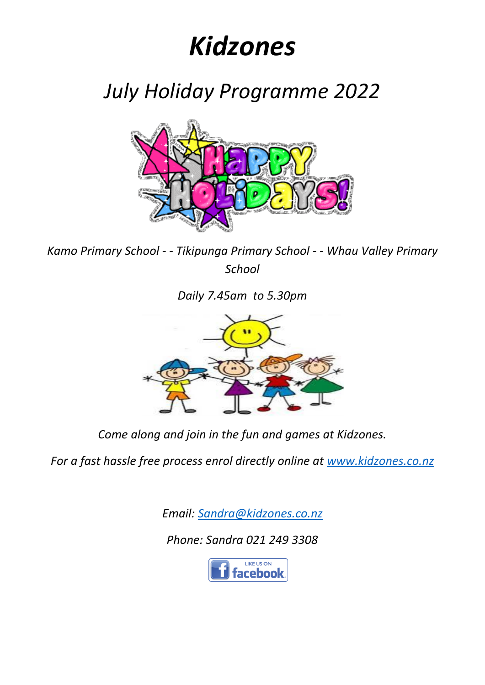## *Kidzones*

*July Holiday Programme 2022*



*Kamo Primary School - - Tikipunga Primary School - - Whau Valley Primary School*

*Daily 7.45am to 5.30pm*



*Come along and join in the fun and games at Kidzones.*

*For a fast hassle free process enrol directly online at [www.kidzones.co.nz](http://www.kidzones.co.nz/)*

*Email: [Sandra@kidzones.co.nz](mailto:Sandra@kidzones.co.nz)*

*Phone: Sandra 021 249 3308*